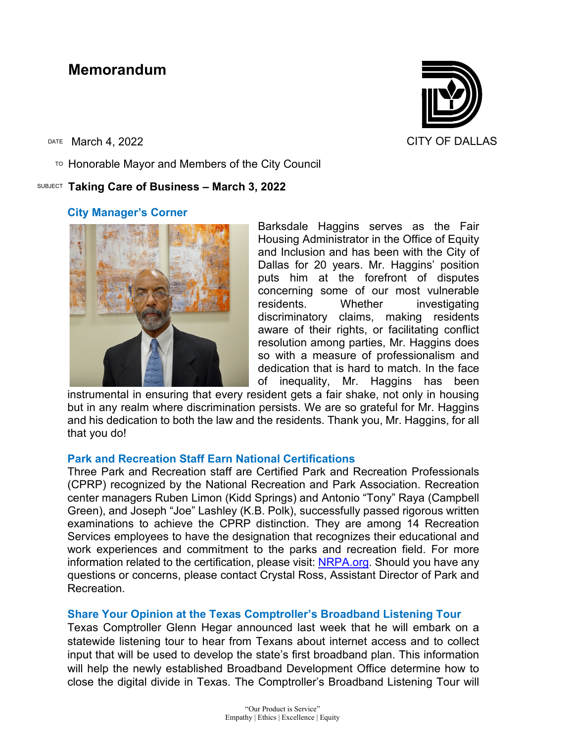# **Memorandum**

 $\overline{P}$  Honorable Mayor and Members of the City Council

# SUBJECT **Taking Care of Business – March 3, 2022**

# **City Manager's Corner**

Barksdale Haggins serves as the Fair Housing Administrator in the Office of Equity and Inclusion and has been with the City of Dallas for 20 years. Mr. Haggins' position puts him at the forefront of disputes concerning some of our most vulnerable residents. Whether investigating discriminatory claims, making residents aware of their rights, or facilitating conflict resolution among parties, Mr. Haggins does so with a measure of professionalism and dedication that is hard to match. In the face of inequality, Mr. Haggins has been

instrumental in ensuring that every resident gets a fair shake, not only in housing but in any realm where discrimination persists. We are so grateful for Mr. Haggins and his dedication to both the law and the residents. Thank you, Mr. Haggins, for all that you do!

# **Park and Recreation Staff Earn National Certifications**

Three Park and Recreation staff are Certified Park and Recreation Professionals (CPRP) recognized by the National Recreation and Park Association. Recreation center managers Ruben Limon (Kidd Springs) and Antonio "Tony" Raya (Campbell Green), and Joseph "Joe" Lashley (K.B. Polk), successfully passed rigorous written examinations to achieve the CPRP distinction. They are among 14 Recreation Services employees to have the designation that recognizes their educational and work experiences and commitment to the parks and recreation field. For more information related to the certification, please visit: NRPA.org. Should you have any questions or concerns, please contact Crystal Ross, Assistant Director of Park and Recreation.

# **Share Your Opinion at the Texas Comptroller's Broadband Listening Tour**

Texas Comptroller Glenn Hegar announced last week that he will embark on a statewide listening tour to hear from Texans about internet access and to collect input that will be used to develop the state's first broadband plan. This information will help the newly established Broadband Development Office determine how to close the digital divide in Texas. The Comptroller's Broadband Listening Tour will



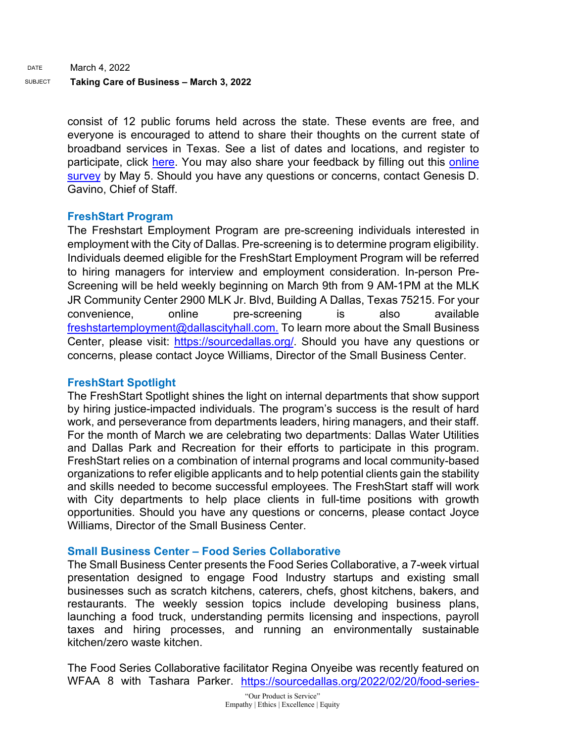consist of 12 public forums held across the state. These events are free, and everyone is encouraged to attend to share their thoughts on the current state of broadband services in Texas. See a list of dates and locations, and register to participate, click [here.](https://comptroller.texas.gov/programs/broadband/communities/tour.php) You may also share your feedback by filling out this [online](https://www.surveymonkey.com/r/Texas-BDO-2022)  [survey](https://www.surveymonkey.com/r/Texas-BDO-2022) by May 5. Should you have any questions or concerns, contact Genesis D. Gavino, Chief of Staff.

# **FreshStart Program**

The Freshstart Employment Program are pre-screening individuals interested in employment with the City of Dallas. Pre-screening is to determine program eligibility. Individuals deemed eligible for the FreshStart Employment Program will be referred to hiring managers for interview and employment consideration. In-person Pre-Screening will be held weekly beginning on March 9th from 9 AM-1PM at the MLK JR Community Center 2900 MLK Jr. Blvd, Building A Dallas, Texas 75215. For your convenience, online pre-screening is also available freshstartemployment@dallascityhall.com. To learn more about the Small Business Center, please visit: [https://sourcedallas.org/.](https://gcc02.safelinks.protection.outlook.com/?url=https%3A%2F%2Fsourcedallas.org%2F&data=04%7C01%7Ctatjana.williams%40dallascityhall.com%7Cf7c529c0b03345eddd4f08d9fb239262%7C2935709ec10c4809a302852d369f8700%7C0%7C0%7C637816952461881328%7CUnknown%7CTWFpbGZsb3d8eyJWIjoiMC4wLjAwMDAiLCJQIjoiV2luMzIiLCJBTiI6Ik1haWwiLCJXVCI6Mn0%3D%7C3000&sdata=m5F3jZ%2FM4QsM%2Bzpn9J8lEzGKQRbBAnEe0qnlleH5kWg%3D&reserved=0) Should you have any questions or concerns, please contact Joyce Williams, Director of the Small Business Center.

# **[FreshStart Spotlight](https://gcc02.safelinks.protection.outlook.com/?url=https%3A%2F%2Fsourcedallas.org%2F2022%2F02%2F23%2Ffreshstart-spotlight%2F&data=04%7C01%7Ctatjana.williams%40dallascityhall.com%7Cf7c529c0b03345eddd4f08d9fb239262%7C2935709ec10c4809a302852d369f8700%7C0%7C0%7C637816952461881328%7CUnknown%7CTWFpbGZsb3d8eyJWIjoiMC4wLjAwMDAiLCJQIjoiV2luMzIiLCJBTiI6Ik1haWwiLCJXVCI6Mn0%3D%7C3000&sdata=YtEt4d%2BfVqtmJmgaPMMWrfD0RtjFuFRdSHAB4X2AmM4%3D&reserved=0)**

The FreshStart Spotlight shines the light on internal departments that show support by hiring justice-impacted individuals. The program's success is the result of hard work, and perseverance from departments leaders, hiring managers, and their staff. For the month of March we are celebrating two departments: Dallas Water Utilities and Dallas Park and Recreation for their efforts to participate in this program. FreshStart relies on a combination of internal programs and local community-based organizations to refer eligible applicants and to help potential clients gain the stability and skills needed to become successful employees. The FreshStart staff will work with City departments to help place clients in full-time positions with growth opportunities. Should you have any questions or concerns, please contact Joyce Williams, Director of the Small Business Center.

# **Small Business Center – Food Series Collaborative**

The Small Business Center presents the Food Series Collaborative, a 7-week virtual presentation designed to engage Food Industry startups and existing small businesses such as scratch kitchens, caterers, chefs, ghost kitchens, bakers, and restaurants. The weekly session topics include developing business plans, launching a food truck, understanding permits licensing and inspections, payroll taxes and hiring processes, and running an environmentally sustainable kitchen/zero waste kitchen.

The Food Series Collaborative facilitator Regina Onyeibe was recently featured on WFAA 8 with Tashara Parker. [https://sourcedallas.org/2022/02/20/food-series-](https://sourcedallas.org/2022/02/20/food-series-collaborative/)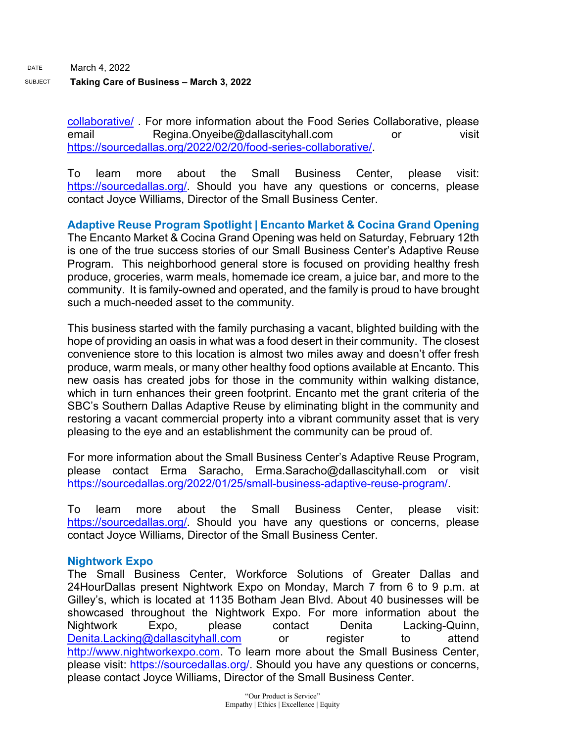[collaborative/](https://sourcedallas.org/2022/02/20/food-series-collaborative/) . For more information about the Food Series Collaborative, please email Regina.Onyeibe@dallascityhall.com or visit [https://sourcedallas.org/2022/02/20/food-series-collaborative/.](https://sourcedallas.org/2022/02/20/food-series-collaborative/)

To learn more about the Small Business Center, please visit: [https://sourcedallas.org/.](https://sourcedallas.org/) Should you have any questions or concerns, please contact Joyce Williams, Director of the Small Business Center.

**Adaptive Reuse Program Spotlight | Encanto Market & Cocina Grand Opening** The Encanto Market & Cocina Grand Opening was held on Saturday, February 12th is one of the true success stories of our Small Business Center's Adaptive Reuse Program. This neighborhood general store is focused on providing healthy fresh produce, groceries, warm meals, homemade ice cream, a juice bar, and more to the community. It is family-owned and operated, and the family is proud to have brought such a much-needed asset to the community.

This business started with the family purchasing a vacant, blighted building with the hope of providing an oasis in what was a food desert in their community. The closest convenience store to this location is almost two miles away and doesn't offer fresh produce, warm meals, or many other healthy food options available at Encanto. This new oasis has created jobs for those in the community within walking distance, which in turn enhances their green footprint. Encanto met the grant criteria of the SBC's Southern Dallas Adaptive Reuse by eliminating blight in the community and restoring a vacant commercial property into a vibrant community asset that is very pleasing to the eye and an establishment the community can be proud of.

For more information about the Small Business Center's Adaptive Reuse Program, please contact Erma Saracho, Erma.Saracho@dallascityhall.com or visit [https://sourcedallas.org/2022/01/25/small-business-adaptive-reuse-program/.](https://sourcedallas.org/2022/01/25/small-business-adaptive-reuse-program/)

To learn more about the Small Business Center, please visit: [https://sourcedallas.org/.](https://sourcedallas.org/) Should you have any questions or concerns, please contact Joyce Williams, Director of the Small Business Center.

# **Nightwork Expo**

The Small Business Center, Workforce Solutions of Greater Dallas and 24HourDallas present Nightwork Expo on Monday, March 7 from 6 to 9 p.m. at Gilley's, which is located at 1135 Botham Jean Blvd. About 40 businesses will be showcased throughout the Nightwork Expo. For more information about the Nightwork Expo, please contact Denita Lacking-Quinn, [Denita.Lacking@dallascityhall.com](mailto:Denita.Lacking@dallascityhall.com) or register to attend [http://www.nightworkexpo.com.](http://www.nightworkexpo.com/) To learn more about the Small Business Center, please visit: [https://sourcedallas.org/.](https://sourcedallas.org/) Should you have any questions or concerns, please contact Joyce Williams, Director of the Small Business Center.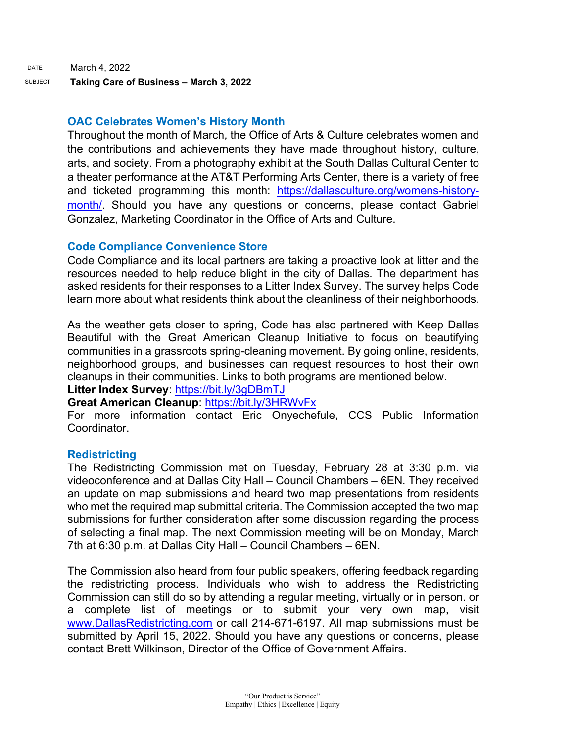#### **OAC Celebrates Women's History Month**

Throughout the month of March, the Office of Arts & Culture celebrates women and the contributions and achievements they have made throughout history, culture, arts, and society. From a photography exhibit at the South Dallas Cultural Center to a theater performance at the AT&T Performing Arts Center, there is a variety of free and ticketed programming this month: [https://dallasculture.org/womens-history](https://gcc02.safelinks.protection.outlook.com/?url=https%3A%2F%2Fdallasculture.org%2Fwomens-history-month%2F&data=04%7C01%7Ctatjana.williams%40dallascityhall.com%7C83d57ca036e744bdb24d08d9fba16be6%7C2935709ec10c4809a302852d369f8700%7C0%7C0%7C637817492976410737%7CUnknown%7CTWFpbGZsb3d8eyJWIjoiMC4wLjAwMDAiLCJQIjoiV2luMzIiLCJBTiI6Ik1haWwiLCJXVCI6Mn0%3D%7C3000&sdata=Z%2BB3XiPSJ4%2BKV8o7YRf9vTYfdY681o7SkfWz19NuIbk%3D&reserved=0)[month/.](https://gcc02.safelinks.protection.outlook.com/?url=https%3A%2F%2Fdallasculture.org%2Fwomens-history-month%2F&data=04%7C01%7Ctatjana.williams%40dallascityhall.com%7C83d57ca036e744bdb24d08d9fba16be6%7C2935709ec10c4809a302852d369f8700%7C0%7C0%7C637817492976410737%7CUnknown%7CTWFpbGZsb3d8eyJWIjoiMC4wLjAwMDAiLCJQIjoiV2luMzIiLCJBTiI6Ik1haWwiLCJXVCI6Mn0%3D%7C3000&sdata=Z%2BB3XiPSJ4%2BKV8o7YRf9vTYfdY681o7SkfWz19NuIbk%3D&reserved=0) Should you have any questions or concerns, please contact Gabriel Gonzalez, Marketing Coordinator in the Office of Arts and Culture.

#### **Code Compliance Convenience Store**

Code Compliance and its local partners are taking a proactive look at litter and the resources needed to help reduce blight in the city of Dallas. The department has asked residents for their responses to a Litter Index Survey. The survey helps Code learn more about what residents think about the cleanliness of their neighborhoods.

As the weather gets closer to spring, Code has also partnered with Keep Dallas Beautiful with the Great American Cleanup Initiative to focus on beautifying communities in a grassroots spring-cleaning movement. By going online, residents, neighborhood groups, and businesses can request resources to host their own cleanups in their communities. Links to both programs are mentioned below. **Litter Index Survey**:<https://bit.ly/3gDBmTJ>

# **Great American Cleanup**:<https://bit.ly/3HRWvFx>

For more information contact Eric Onyechefule, CCS Public Information Coordinator.

# **Redistricting**

The Redistricting Commission met on Tuesday, February 28 at 3:30 p.m. via videoconference and at Dallas City Hall – Council Chambers – 6EN. They received an update on map submissions and heard two map presentations from residents who met the required map submittal criteria. The Commission accepted the two map submissions for further consideration after some discussion regarding the process of selecting a final map. The next Commission meeting will be on Monday, March 7th at 6:30 p.m. at Dallas City Hall – Council Chambers – 6EN.

The Commission also heard from four public speakers, offering feedback regarding the redistricting process. Individuals who wish to address the Redistricting Commission can still do so by attending a regular meeting, virtually or in person. or a complete list of meetings or to submit your very own map, visit [www.DallasRedistricting.com](https://gcc02.safelinks.protection.outlook.com/?url=http%3A%2F%2Fwww.dallasredistricting.com%2F&data=04%7C01%7Ctatjana.williams%40dallascityhall.com%7C653e595f4cfc452a64d708d9fbc2d6d9%7C2935709ec10c4809a302852d369f8700%7C0%7C0%7C637817636510790473%7CUnknown%7CTWFpbGZsb3d8eyJWIjoiMC4wLjAwMDAiLCJQIjoiV2luMzIiLCJBTiI6Ik1haWwiLCJXVCI6Mn0%3D%7C3000&sdata=1suQfc233kwAO9qnTxKBN7WoAbzazEKKiBBghU%2F5bY0%3D&reserved=0) or call 214-671-6197. All map submissions must be submitted by April 15, 2022. Should you have any questions or concerns, please contact Brett Wilkinson, Director of the Office of Government Affairs.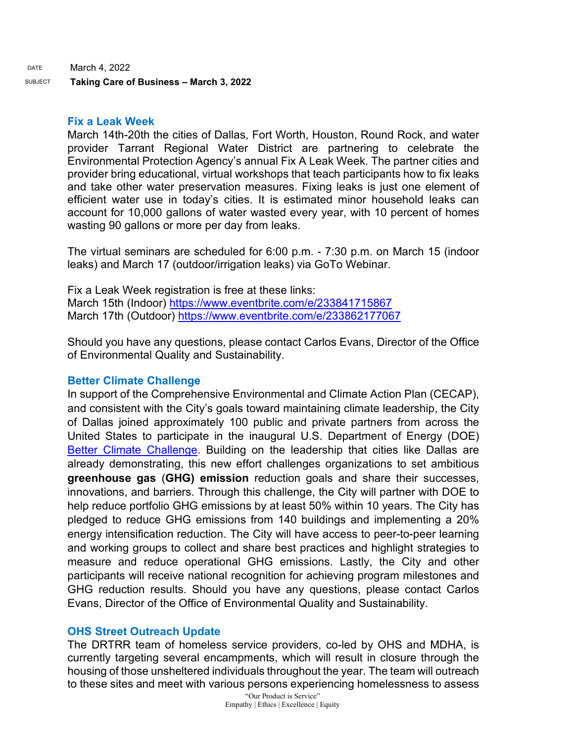DATE March 4, 2022

SUBJECT **Taking Care of Business – March 3, 2022**

#### **Fix a Leak Week**

March 14th-20th the cities of Dallas, Fort Worth, Houston, Round Rock, and water provider Tarrant Regional Water District are partnering to celebrate the Environmental Protection Agency's annual Fix A Leak Week. The partner cities and provider bring educational, virtual workshops that teach participants how to fix leaks and take other water preservation measures. Fixing leaks is just one element of efficient water use in today's cities. It is estimated minor household leaks can account for 10,000 gallons of water wasted every year, with 10 percent of homes wasting 90 gallons or more per day from leaks.

The virtual seminars are scheduled for 6:00 p.m. - 7:30 p.m. on March 15 (indoor leaks) and March 17 (outdoor/irrigation leaks) via GoTo Webinar.

Fix a Leak Week registration is free at these links: March 15th (Indoor)<https://www.eventbrite.com/e/233841715867> March 17th (Outdoor) [https://www.eventbrite.com/e/233862177067](https://gcc02.safelinks.protection.outlook.com/?url=https%3A%2F%2Furldefense.com%2Fv3%2F__https%3A%2Fgcc02.safelinks.protection.outlook.com%2F%3Furl%3Dhttps*3A*2F*2Fwww.eventbrite.com*2Fe*2F233862177067%26data%3D04*7C01*7CLacie.Ulrich*40houstontx.gov*7C552ca7b72504432d615308d9e4e0c5ee*7C57a85a10258b45b4a519c96c7721094c*7C1*7C0*7C637792476335583918*7CUnknown*7CTWFpbGZsb3d8eyJWIjoiMC4wLjAwMDAiLCJQIjoiV2luMzIiLCJBTiI6Ik1haWwiLCJXVCI6Mn0*3D*7C3000%26sdata%3DQUaWc2WQqhyR0c4yBGmdT4mg8rN0s0grbLH8m87yDsE*3D%26reserved%3D0__%3BJSUlJSUlJSUlJSUlJSUlJSUl!!FBD41DuKpIh0IME!YyzJkfgcVyGXb2CvGqwHM6dI0wyA5LPumicNIxeiIhyPDrtwpSglf-UG0FSLKu0PcQjOie-0Kn26Png%24&data=04%7C01%7Ctatjana.williams%40dallascityhall.com%7Ce5d50d62088a4a1f6bd808d9fbd72431%7C2935709ec10c4809a302852d369f8700%7C0%7C0%7C637817723705097728%7CUnknown%7CTWFpbGZsb3d8eyJWIjoiMC4wLjAwMDAiLCJQIjoiV2luMzIiLCJBTiI6Ik1haWwiLCJXVCI6Mn0%3D%7C3000&sdata=62032kSyZ6BWdnWQfPjD8lwFuvKR%2FsqJnasfed9aprI%3D&reserved=0)

Should you have any questions, please contact Carlos Evans, Director of the Office of Environmental Quality and Sustainability.

# **Better Climate Challenge**

In support of the Comprehensive Environmental and Climate Action Plan (CECAP), and consistent with the City's goals toward maintaining climate leadership, the City of Dallas joined approximately 100 public and private partners from across the United States to participate in the inaugural U.S. Department of Energy (DOE) [Better Climate Challenge.](https://gcc02.safelinks.protection.outlook.com/?url=https%3A%2F%2Fbetterbuildingssolutioncenter.energy.gov%2Fbetter-climate-challenge&data=04%7C01%7Ctatjana.williams%40dallascityhall.com%7Cdf25468767fd4141158408d9fbd5e9fc%7C2935709ec10c4809a302852d369f8700%7C0%7C0%7C637817718449384173%7CUnknown%7CTWFpbGZsb3d8eyJWIjoiMC4wLjAwMDAiLCJQIjoiV2luMzIiLCJBTiI6Ik1haWwiLCJXVCI6Mn0%3D%7C3000&sdata=iiEz2zviYzblmE90%2BuGtimadrO%2FwPa8S3qXe90%2Fxzd8%3D&reserved=0) Building on the leadership that cities like Dallas are already demonstrating, this new effort challenges organizations to set ambitious **greenhouse gas** (**GHG) emission** reduction goals and share their successes, innovations, and barriers. Through this challenge, the City will partner with DOE to help reduce portfolio GHG emissions by at least 50% within 10 years. The City has pledged to reduce GHG emissions from 140 buildings and implementing a 20% energy intensification reduction. The City will have access to peer-to-peer learning and working groups to collect and share best practices and highlight strategies to measure and reduce operational GHG emissions. Lastly, the City and other participants will receive national recognition for achieving program milestones and GHG reduction results. Should you have any questions, please contact Carlos Evans, Director of the Office of Environmental Quality and Sustainability.

# **OHS Street Outreach Update**

The DRTRR team of homeless service providers, co-led by OHS and MDHA, is currently targeting several encampments, which will result in closure through the housing of those unsheltered individuals throughout the year. The team will outreach to these sites and meet with various persons experiencing homelessness to assess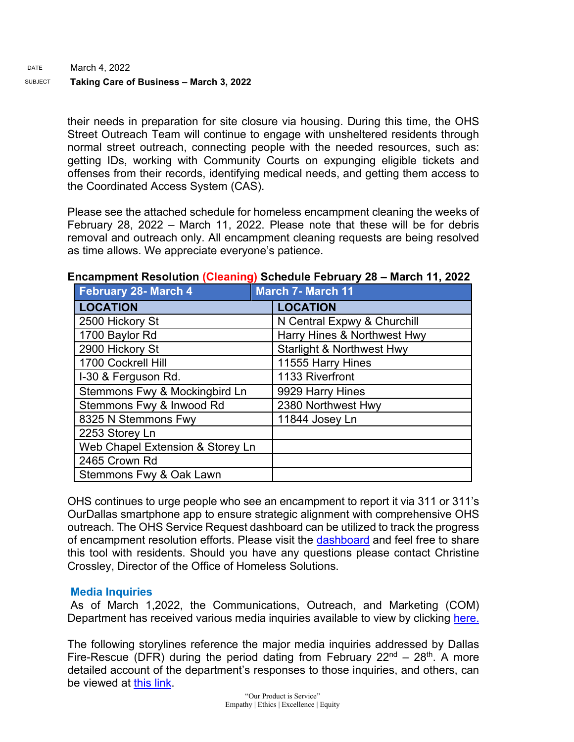their needs in preparation for site closure via housing. During this time, the OHS Street Outreach Team will continue to engage with unsheltered residents through normal street outreach, connecting people with the needed resources, such as: getting IDs, working with Community Courts on expunging eligible tickets and offenses from their records, identifying medical needs, and getting them access to the Coordinated Access System (CAS).

Please see the attached schedule for homeless encampment cleaning the weeks of February 28, 2022 – March 11, 2022. Please note that these will be for debris removal and outreach only. All encampment cleaning requests are being resolved as time allows. We appreciate everyone's patience.

| February 28- March 4             | <b>March 7- March 11</b> |                                      |
|----------------------------------|--------------------------|--------------------------------------|
| <b>LOCATION</b>                  |                          | <b>LOCATION</b>                      |
| 2500 Hickory St                  |                          | N Central Expwy & Churchill          |
| 1700 Baylor Rd                   |                          | Harry Hines & Northwest Hwy          |
| 2900 Hickory St                  |                          | <b>Starlight &amp; Northwest Hwy</b> |
| 1700 Cockrell Hill               |                          | 11555 Harry Hines                    |
| I-30 & Ferguson Rd.              |                          | 1133 Riverfront                      |
| Stemmons Fwy & Mockingbird Ln    |                          | 9929 Harry Hines                     |
| Stemmons Fwy & Inwood Rd         |                          | 2380 Northwest Hwy                   |
| 8325 N Stemmons Fwy              |                          | 11844 Josey Ln                       |
| 2253 Storey Ln                   |                          |                                      |
| Web Chapel Extension & Storey Ln |                          |                                      |
| 2465 Crown Rd                    |                          |                                      |
| Stemmons Fwy & Oak Lawn          |                          |                                      |

# **Encampment Resolution (Cleaning) Schedule February 28 – March 11, 2022**

OHS continues to urge people who see an encampment to report it via 311 or 311's OurDallas smartphone app to ensure strategic alignment with comprehensive OHS outreach. The OHS Service Request dashboard can be utilized to track the progress of encampment resolution efforts. Please visit the [dashboard](https://gcc02.safelinks.protection.outlook.com/?url=https%3A%2F%2Fdallasgis.maps.arcgis.com%2Fapps%2Fopsdashboard%2Findex.html%23%2Fccd41f0d795f407a94ae17e2c27bf073&data=04%7C01%7CAmanda.Voigt%40dallascityhall.com%7C45f12cc3352040105b8308d9fbcb6d7a%7C2935709ec10c4809a302852d369f8700%7C0%7C0%7C637817673400555821%7CUnknown%7CTWFpbGZsb3d8eyJWIjoiMC4wLjAwMDAiLCJQIjoiV2luMzIiLCJBTiI6Ik1haWwiLCJXVCI6Mn0%3D%7C3000&sdata=zBK9TJ%2FxRq23uCczgqh0DBvzdKPq6ITbYwpLxvg3nLI%3D&reserved=0) and feel free to share this tool with residents. Should you have any questions please contact Christine Crossley, Director of the Office of Homeless Solutions.

# **Media Inquiries**

As of March 1,2022, the Communications, Outreach, and Marketing (COM) Department has received various media inquiries available to view by clicking [here.](https://gcc02.safelinks.protection.outlook.com/ap/w-59584e83/?url=https%3A%2F%2Fdallastxgov.sharepoint.com%2F%3Aw%3A%2Fs%2FPIOTeam%2FEUEE4nSBy9dGvFu1420pnloBsJAuVpmSGNMt6Tifk4rOwQ%3Fe%3DWONp6C&data=04%7C01%7Ctatjana.williams%40dallascityhall.com%7Cd360a7c18e7147e0fa7c08d9fbbda00d%7C2935709ec10c4809a302852d369f8700%7C0%7C0%7C637817614111779763%7CUnknown%7CTWFpbGZsb3d8eyJWIjoiMC4wLjAwMDAiLCJQIjoiV2luMzIiLCJBTiI6Ik1haWwiLCJXVCI6Mn0%3D%7C3000&sdata=jnDU6xyuGgf76bIthYeFINr9AAAqzCMxKZVfISb1DMA%3D&reserved=0)

The following storylines reference the major media inquiries addressed by Dallas Fire-Rescue (DFR) during the period dating from February  $22^{nd} - 28^{th}$ . A more detailed account of the department's responses to those inquiries, and others, can be viewed at [this link.](https://gcc02.safelinks.protection.outlook.com/ap/w-59584e83/?url=https%3A%2F%2Fdallastxgov-my.sharepoint.com%2F%3Aw%3A%2Fg%2Fpersonal%2Fjason_evans_dallascityhall_com%2FERzzFMBPISVMr2BsKiY1YboB319MUTK5VHPBC8VJlKIG3w%3Fe%3DJ3aiD6&data=04%7C01%7Ctatjana.williams%40dallascityhall.com%7C8e1c75705eed4d23705d08d9fb963619%7C2935709ec10c4809a302852d369f8700%7C0%7C0%7C637817444827643600%7CUnknown%7CTWFpbGZsb3d8eyJWIjoiMC4wLjAwMDAiLCJQIjoiV2luMzIiLCJBTiI6Ik1haWwiLCJXVCI6Mn0%3D%7C3000&sdata=lYmA5Xwjmy5KGwaUcG%2FOSxOXqojxs9o2nfwLHmkerYM%3D&reserved=0)